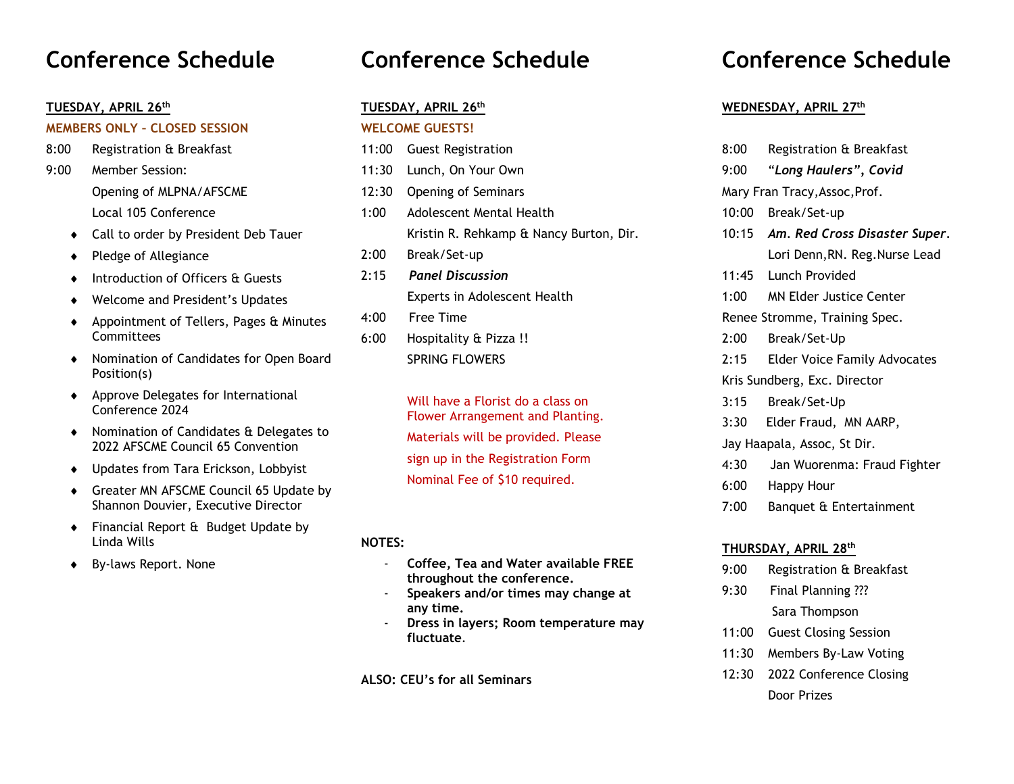## **Conference Schedule**

#### **TUESDAY, APRIL 26th**

**MEMBERS ONLY – CLOSED SESSION**

8:00 Registration & Breakfast

9:00 Member Session:

Opening of MLPNA/AFSCME Local 105 Conference

- ♦ Call to order by President Deb Tauer
- ♦ Pledge of Allegiance
- ♦ Introduction of Officers & Guests
- ♦ Welcome and President's Updates
- ♦ Appointment of Tellers, Pages & Minutes **Committees**
- ♦ Nomination of Candidates for Open Board Position(s)
- ♦ Approve Delegates for International Conference 2024
- ♦ Nomination of Candidates & Delegates to 2022 AFSCME Council 65 Convention
- ♦ Updates from Tara Erickson, Lobbyist
- ♦ Greater MN AFSCME Council 65 Update by Shannon Douvier, Executive Director
- ♦ Financial Report & Budget Update by Linda Wills
- ♦ By-laws Report. None

## **Conference Schedule**

## **TUESDAY, APRIL 26th**

#### **WELCOME GUESTS!**

| 11:00 | <b>Guest Registration</b>               |  |
|-------|-----------------------------------------|--|
| 11:30 | Lunch, On Your Own                      |  |
| 12:30 | Opening of Seminars                     |  |
| 1:00  | Adolescent Mental Health                |  |
|       | Kristin R. Rehkamp & Nancy Burton, Dir. |  |
| 2:00  | Break/Set-up                            |  |
| 2:15  | <b>Panel Discussion</b>                 |  |
|       | <b>Experts in Adolescent Health</b>     |  |
| 4:00  | <b>Free Time</b>                        |  |
| 6:00  | Hospitality & Pizza !!                  |  |

SPRING FLOWERS

Will have a Florist do a class on Flower Arrangement and Planting. Materials will be provided. Please sign up in the Registration Form Nominal Fee of \$10 required.

**NOTES:**

- **Coffee, Tea and Water available FREE throughout the conference.**
- **Speakers and/or times may change at any time.**
- **Dress in layers; Room temperature may fluctuate**.

**ALSO: CEU's for all Seminars**

## **Conference Schedule**

### **WEDNESDAY, APRIL 27th**

| 8:00                          | Registration & Breakfast            |  |
|-------------------------------|-------------------------------------|--|
| 9:00                          | "Long Haulers", Covid               |  |
| Mary Fran Tracy, Assoc, Prof. |                                     |  |
| 10:00                         | Break/Set-up                        |  |
|                               | 10:15 Am. Red Cross Disaster Super. |  |
|                               | Lori Denn, RN. Reg. Nurse Lead      |  |
|                               | 11:45 Lunch Provided                |  |
| 1:00                          | <b>MN Elder Justice Center</b>      |  |
| Renee Stromme, Training Spec. |                                     |  |
| 2:00                          | Break/Set-Up                        |  |
| 2:15                          | <b>Elder Voice Family Advocates</b> |  |
| Kris Sundberg, Exc. Director  |                                     |  |
| 3:15                          | Break/Set-Up                        |  |
| 3:30                          | Elder Fraud, MN AARP,               |  |
|                               | Jay Haapala, Assoc, St Dir.         |  |
| 4:30                          | Jan Wuorenma: Fraud Fighter         |  |
| 6:00                          | Happy Hour                          |  |
| 7:00                          | Banquet & Entertainment             |  |

#### **THURSDAY, APRIL 28th**

| 9:00  | Registration & Breakfast     |
|-------|------------------------------|
| 9:30  | Final Planning ???           |
|       | Sara Thompson                |
| 11:00 | <b>Guest Closing Session</b> |

- 11:30 Members By-Law Voting
- 12:30 2022 Conference Closing Door Prizes